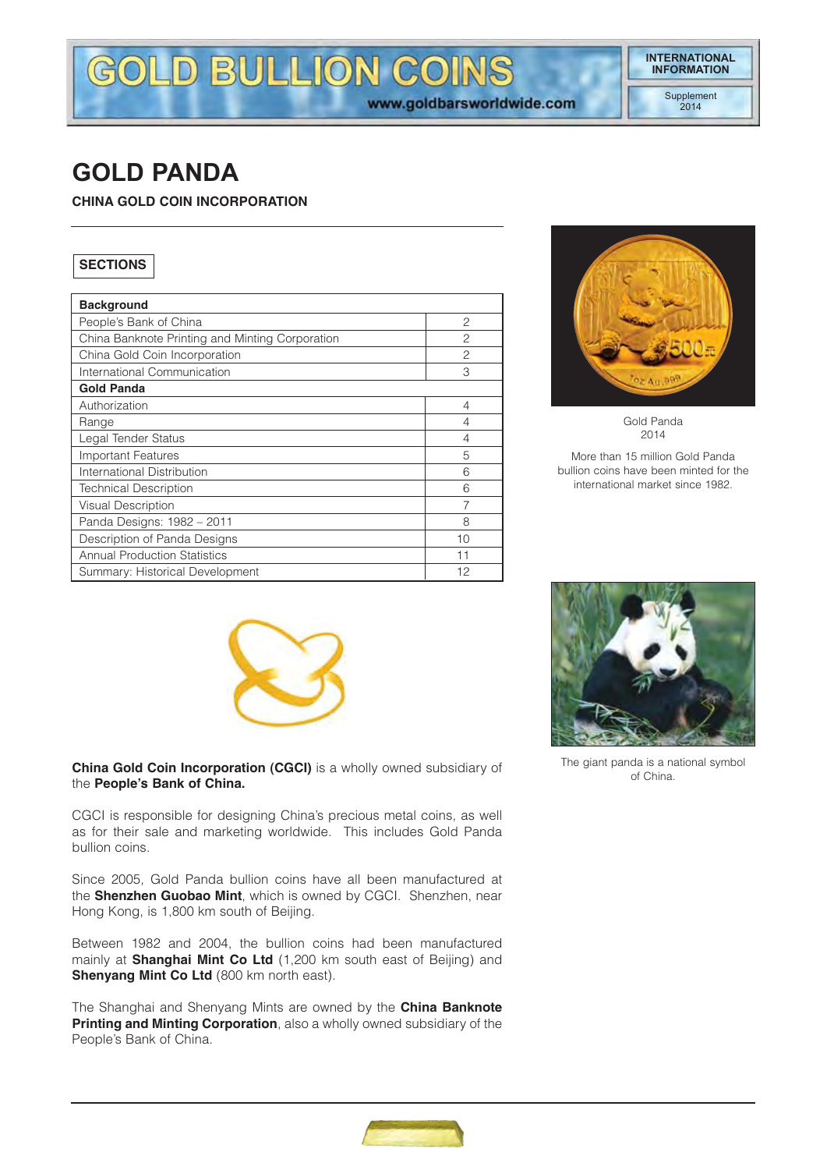# GOLD BULLION COINS www.goldbarsworldwide.com

# **GOLD PANDA**

**CHINA GOLD COIN INCORPORATION**

# **SECTIONS**

| <b>Background</b>                               |                |
|-------------------------------------------------|----------------|
| People's Bank of China                          | $\overline{c}$ |
| China Banknote Printing and Minting Corporation | 2              |
| China Gold Coin Incorporation                   | $\mathcal{P}$  |
| International Communication                     | 3              |
| <b>Gold Panda</b>                               |                |
| Authorization                                   | 4              |
| Range                                           | 4              |
| Legal Tender Status                             | 4              |
| <b>Important Features</b>                       | 5              |
| International Distribution                      | 6              |
| <b>Technical Description</b>                    | 6              |
| <b>Visual Description</b>                       |                |
| Panda Designs: 1982 - 2011                      | 8              |
| Description of Panda Designs                    | 10             |
| <b>Annual Production Statistics</b>             | 11             |
| Summary: Historical Development                 | 12             |



Gold Panda 2014

More than 15 million Gold Panda bullion coins have been minted for the international market since 1982.



**China Gold Coin Incorporation (CGCI)** is a wholly owned subsidiary of the **People's Bank of China.**

CGCI is responsible for designing China's precious metal coins, as well as for their sale and marketing worldwide. This includes Gold Panda bullion coins.

Since 2005, Gold Panda bullion coins have all been manufactured at the **Shenzhen Guobao Mint**, which is owned by CGCI. Shenzhen, near Hong Kong, is 1,800 km south of Beijing.

Between 1982 and 2004, the bullion coins had been manufactured mainly at **Shanghai Mint Co Ltd** (1,200 km south east of Beijing) and **Shenyang Mint Co Ltd** (800 km north east).

The Shanghai and Shenyang Mints are owned by the **China Banknote Printing and Minting Corporation**, also a wholly owned subsidiary of the People's Bank of China.



The giant panda is a national symbol of China.

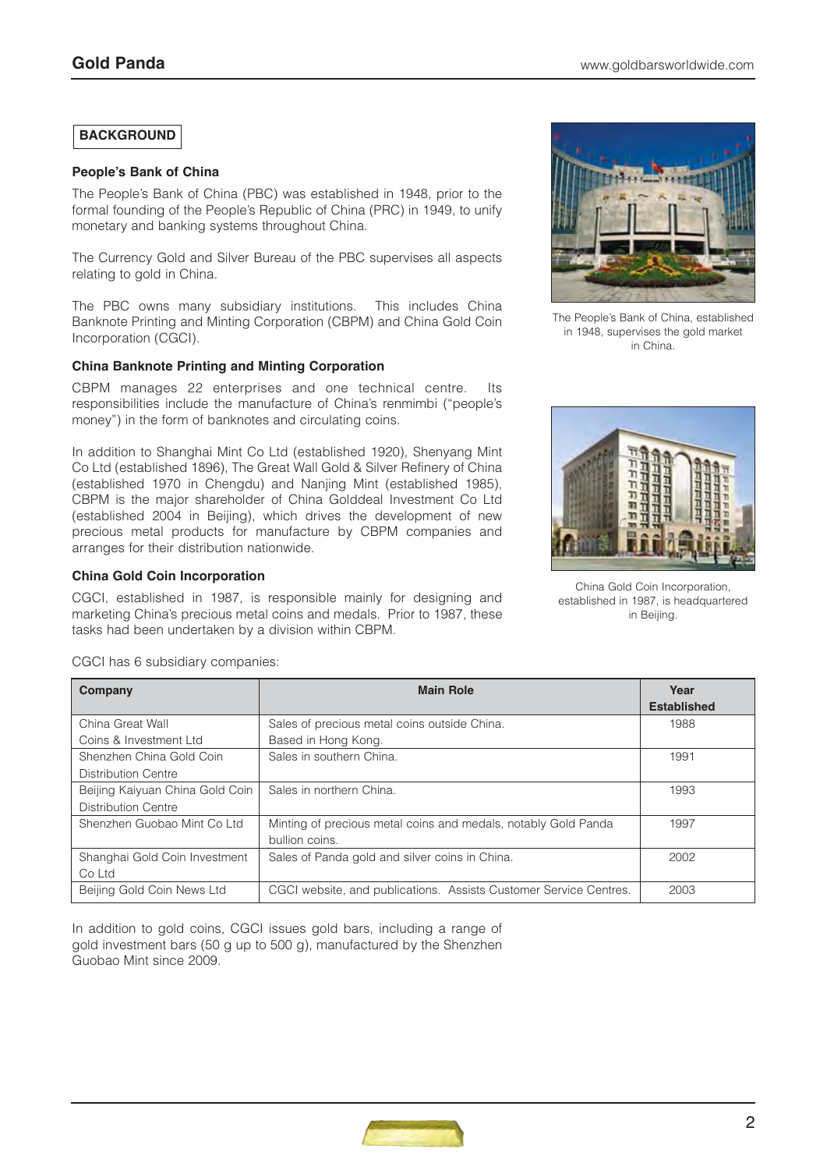# **BACKGROUND**

#### **People's Bank of China**

The People's Bank of China (PBC) was established in 1948, prior to the formal founding of the People's Republic of China (PRC) in 1949, to unify monetary and banking systems throughout China.

The Currency Gold and Silver Bureau of the PBC supervises all aspects relating to gold in China.

The PBC owns many subsidiary institutions. This includes China Banknote Printing and Minting Corporation (CBPM) and China Gold Coin Incorporation (CGCI).

#### **China Banknote Printing and Minting Corporation**

CBPM manages 22 enterprises and one technical centre. Its responsibilities include the manufacture of China's renmimbi ("people's money") in the form of banknotes and circulating coins.

In addition to Shanghai Mint Co Ltd (established 1920), Shenyang Mint Co Ltd (established 1896), The Great Wall Gold & Silver Refinery of China (established 1970 in Chengdu) and Nanjing Mint (established 1985), CBPM is the major shareholder of China Golddeal Investment Co Ltd (established 2004 in Beijing), which drives the development of new precious metal products for manufacture by CBPM companies and arranges for their distribution nationwide.

#### **China Gold Coin Incorporation**

CGCI, established in 1987, is responsible mainly for designing and marketing China's precious metal coins and medals. Prior to 1987, these tasks had been undertaken by a division within CBPM.



The People's Bank of China, established in 1948, supervises the gold market in China.



China Gold Coin Incorporation, established in 1987, is headquartered in Beijing.

| Company                         | <b>Main Role</b>                                                  | Year               |
|---------------------------------|-------------------------------------------------------------------|--------------------|
|                                 |                                                                   | <b>Established</b> |
| China Great Wall                | Sales of precious metal coins outside China.                      | 1988               |
| Coins & Investment Ltd          | Based in Hong Kong.                                               |                    |
| Shenzhen China Gold Coin        | Sales in southern China.                                          | 1991               |
| Distribution Centre             |                                                                   |                    |
| Beijing Kaiyuan China Gold Coin | Sales in northern China.                                          | 1993               |
| <b>Distribution Centre</b>      |                                                                   |                    |
| Shenzhen Guobao Mint Co Ltd     | Minting of precious metal coins and medals, notably Gold Panda    | 1997               |
|                                 | bullion coins.                                                    |                    |
| Shanghai Gold Coin Investment   | Sales of Panda gold and silver coins in China.                    | 2002               |
| Co Ltd                          |                                                                   |                    |
| Beijing Gold Coin News Ltd      | CGCI website, and publications. Assists Customer Service Centres. | 2003               |

CGCI has 6 subsidiary companies:

In addition to gold coins, CGCI issues gold bars, including a range of gold investment bars (50 g up to 500 g), manufactured by the Shenzhen Guobao Mint since 2009.

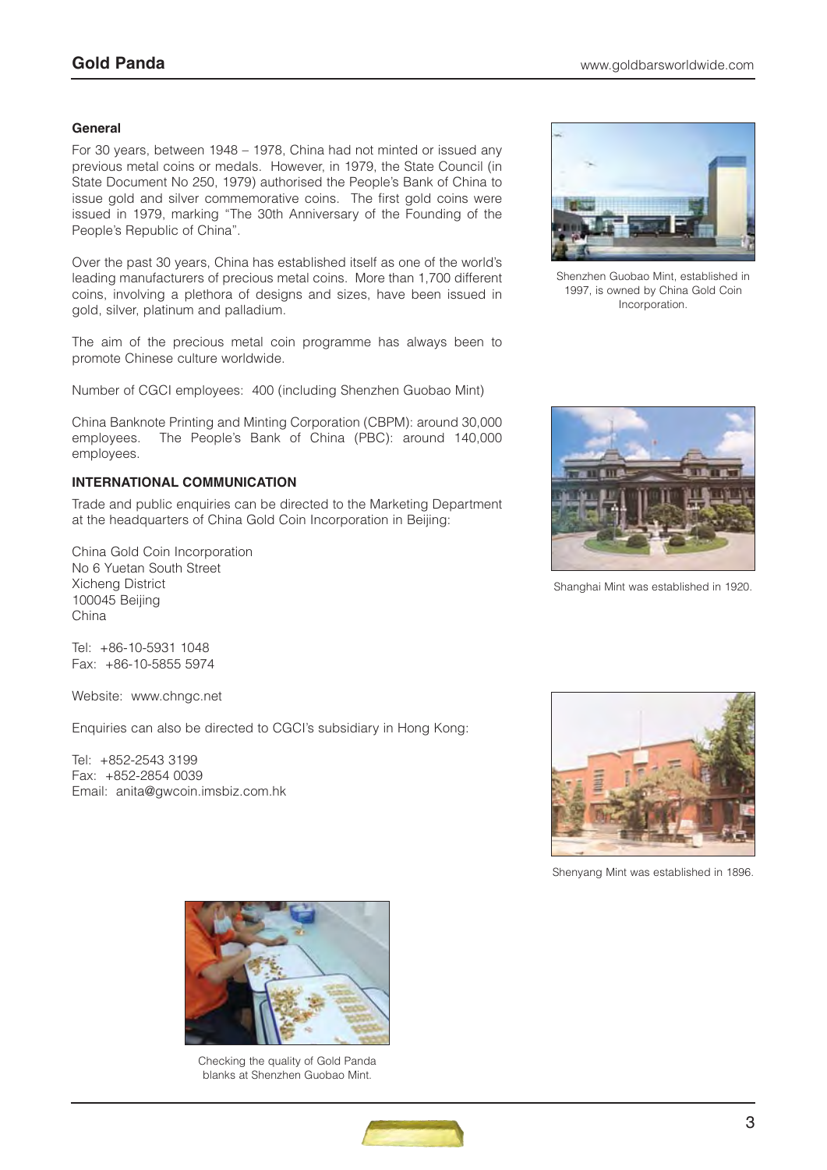#### **General**

For 30 years, between 1948 – 1978, China had not minted or issued any previous metal coins or medals. However, in 1979, the State Council (in State Document No 250, 1979) authorised the People's Bank of China to issue gold and silver commemorative coins. The first gold coins were issued in 1979, marking "The 30th Anniversary of the Founding of the People's Republic of China".

Over the past 30 years, China has established itself as one of the world's leading manufacturers of precious metal coins. More than 1,700 different coins, involving a plethora of designs and sizes, have been issued in gold, silver, platinum and palladium.

The aim of the precious metal coin programme has always been to promote Chinese culture worldwide.

Number of CGCI employees: 400 (including Shenzhen Guobao Mint)

China Banknote Printing and Minting Corporation (CBPM): around 30,000 employees. The People's Bank of China (PBC): around 140,000 employees.

### **INTERNATIONAL COMMUNICATION**

Trade and public enquiries can be directed to the Marketing Department at the headquarters of China Gold Coin Incorporation in Beijing:

China Gold Coin Incorporation No 6 Yuetan South Street Xicheng District 100045 Beijing China

Tel: +86-10-5931 1048 Fax: +86-10-5855 5974

Website: www.chngc.net

Enquiries can also be directed to CGCI's subsidiary in Hong Kong:

Tel: +852-2543 3199 Fax: +852-2854 0039 Email: anita@gwcoin.imsbiz.com.hk



Shenzhen Guobao Mint, established in 1997, is owned by China Gold Coin Incorporation.



Shanghai Mint was established in 1920.



Shenyang Mint was established in 1896.



Checking the quality of Gold Panda blanks at Shenzhen Guobao Mint.

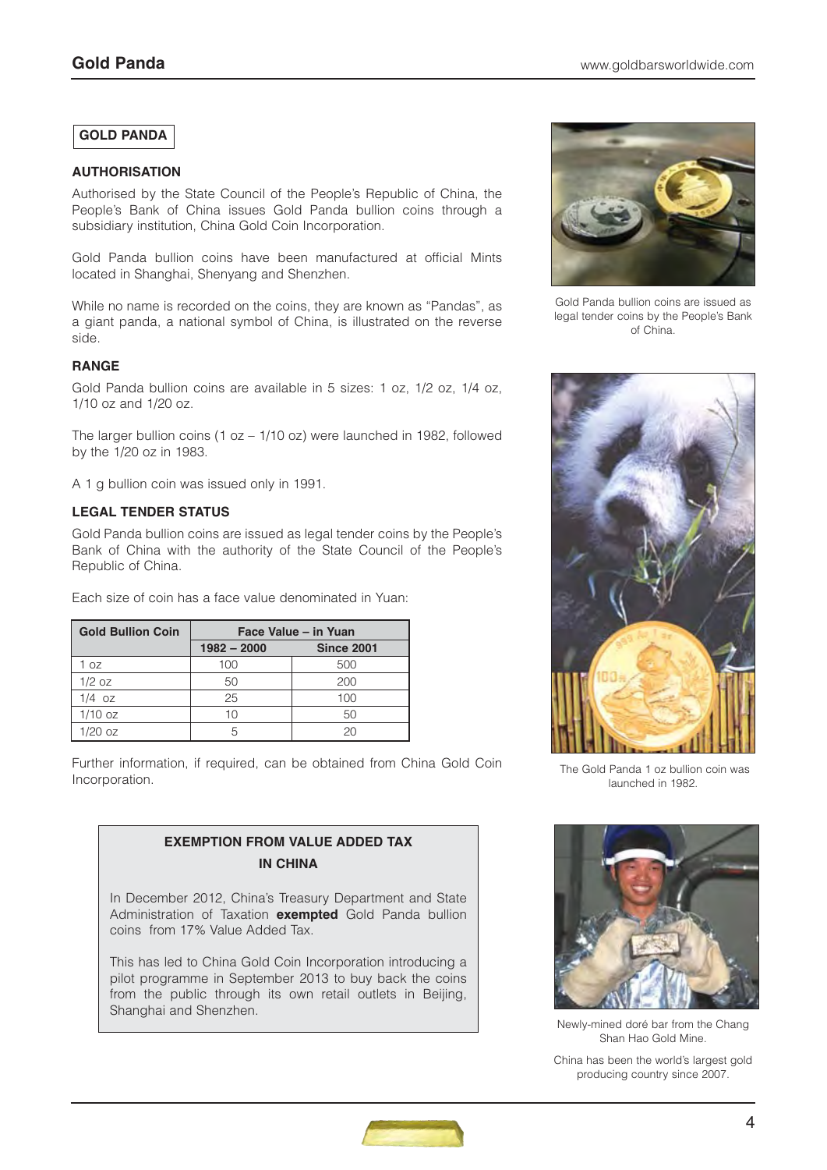## **GOLD PANDA**

#### **AUTHORISATION**

Authorised by the State Council of the People's Republic of China, the People's Bank of China issues Gold Panda bullion coins through a subsidiary institution, China Gold Coin Incorporation.

Gold Panda bullion coins have been manufactured at official Mints located in Shanghai, Shenyang and Shenzhen.

While no name is recorded on the coins, they are known as "Pandas", as a giant panda, a national symbol of China, is illustrated on the reverse side.

#### **RANGE**

Gold Panda bullion coins are available in 5 sizes: 1 oz, 1/2 oz, 1/4 oz, 1/10 oz and 1/20 oz.

The larger bullion coins (1 oz – 1/10 oz) were launched in 1982, followed by the 1/20 oz in 1983.

A 1 g bullion coin was issued only in 1991.

#### **LEGAL TENDER STATUS**

Gold Panda bullion coins are issued as legal tender coins by the People's Bank of China with the authority of the State Council of the People's Republic of China.

Each size of coin has a face value denominated in Yuan:

| <b>Gold Bullion Coin</b> | Face Value - in Yuan |                   |  |  |  |
|--------------------------|----------------------|-------------------|--|--|--|
|                          | $1982 - 2000$        | <b>Since 2001</b> |  |  |  |
| 1 oz                     | 100                  | 500               |  |  |  |
| $1/2$ oz                 | 50                   | 200               |  |  |  |
| $1/4$ oz                 | 25                   | 100               |  |  |  |
| $1/10$ oz                | 10                   | 50                |  |  |  |
| $1/20$ oz                | 5                    | 20                |  |  |  |

Further information, if required, can be obtained from China Gold Coin Incorporation.



In December 2012, China's Treasury Department and State Administration of Taxation **exempted** Gold Panda bullion coins from 17% Value Added Tax.

This has led to China Gold Coin Incorporation introducing a pilot programme in September 2013 to buy back the coins from the public through its own retail outlets in Beijing, Shanghai and Shenzhen.



Gold Panda bullion coins are issued as legal tender coins by the People's Bank of China.



The Gold Panda 1 oz bullion coin was launched in 1982.



Newly-mined doré bar from the Chang Shan Hao Gold Mine.

China has been the world's largest gold producing country since 2007.

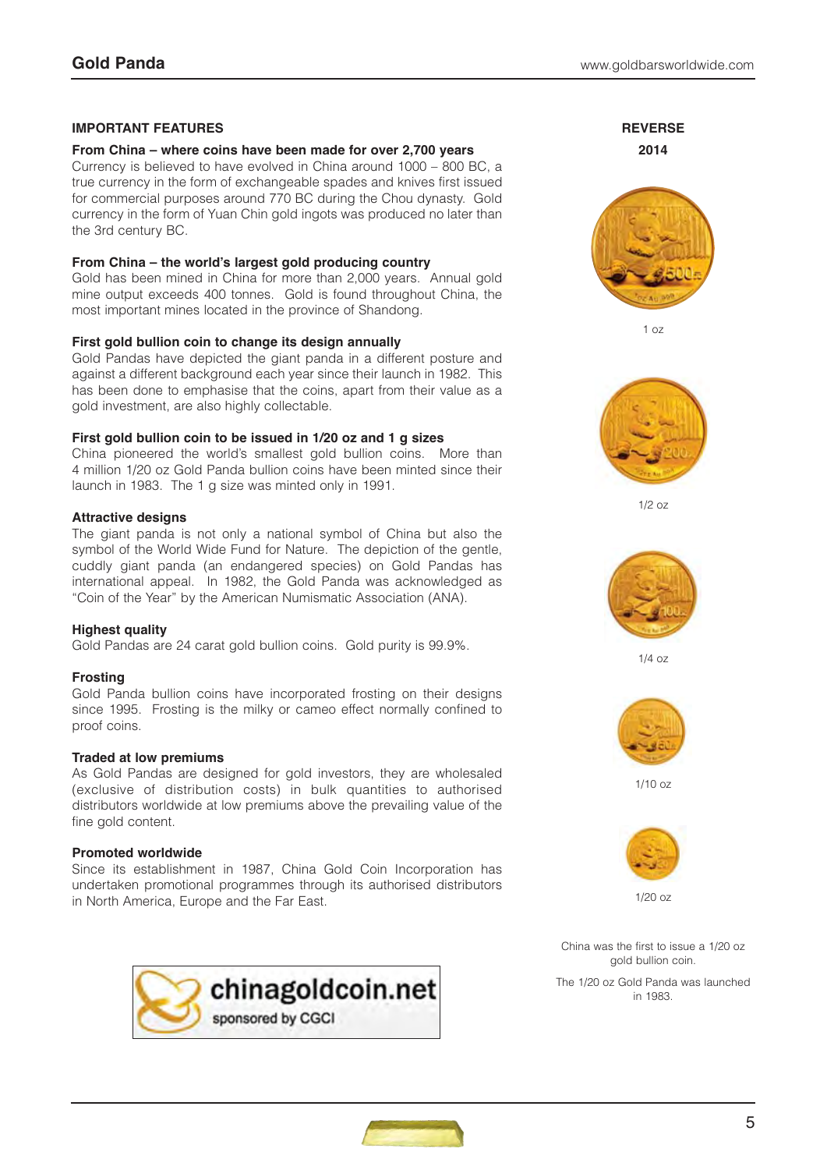#### **IMPORTANT FEATURES**

#### **From China – where coins have been made for over 2,700 years**

Currency is believed to have evolved in China around 1000 – 800 BC, a true currency in the form of exchangeable spades and knives first issued for commercial purposes around 770 BC during the Chou dynasty. Gold currency in the form of Yuan Chin gold ingots was produced no later than the 3rd century BC.

#### **From China – the world's largest gold producing country**

Gold has been mined in China for more than 2,000 years. Annual gold mine output exceeds 400 tonnes. Gold is found throughout China, the most important mines located in the province of Shandong.

#### **First gold bullion coin to change its design annually**

Gold Pandas have depicted the giant panda in a different posture and against a different background each year since their launch in 1982. This has been done to emphasise that the coins, apart from their value as a gold investment, are also highly collectable.

#### **First gold bullion coin to be issued in 1/20 oz and 1 g sizes**

China pioneered the world's smallest gold bullion coins. More than 4 million 1/20 oz Gold Panda bullion coins have been minted since their launch in 1983. The 1 g size was minted only in 1991.

#### **Attractive designs**

The giant panda is not only a national symbol of China but also the symbol of the World Wide Fund for Nature. The depiction of the gentle, cuddly giant panda (an endangered species) on Gold Pandas has international appeal. In 1982, the Gold Panda was acknowledged as "Coin of the Year" by the American Numismatic Association (ANA).

#### **Highest quality**

Gold Pandas are 24 carat gold bullion coins. Gold purity is 99.9%.

#### **Frosting**

Gold Panda bullion coins have incorporated frosting on their designs since 1995. Frosting is the milky or cameo effect normally confined to proof coins.

#### **Traded at low premiums**

As Gold Pandas are designed for gold investors, they are wholesaled (exclusive of distribution costs) in bulk quantities to authorised distributors worldwide at low premiums above the prevailing value of the fine gold content.

#### **Promoted worldwide**

Since its establishment in 1987, China Gold Coin Incorporation has undertaken promotional programmes through its authorised distributors in North America, Europe and the Far East.



**REVERSE 2014**



1 oz



 $1/2$   $0z$ 



1/4 oz



1/10 oz



1/20 oz

China was the first to issue a 1/20 oz gold bullion coin.

The 1/20 oz Gold Panda was launched in 1983.

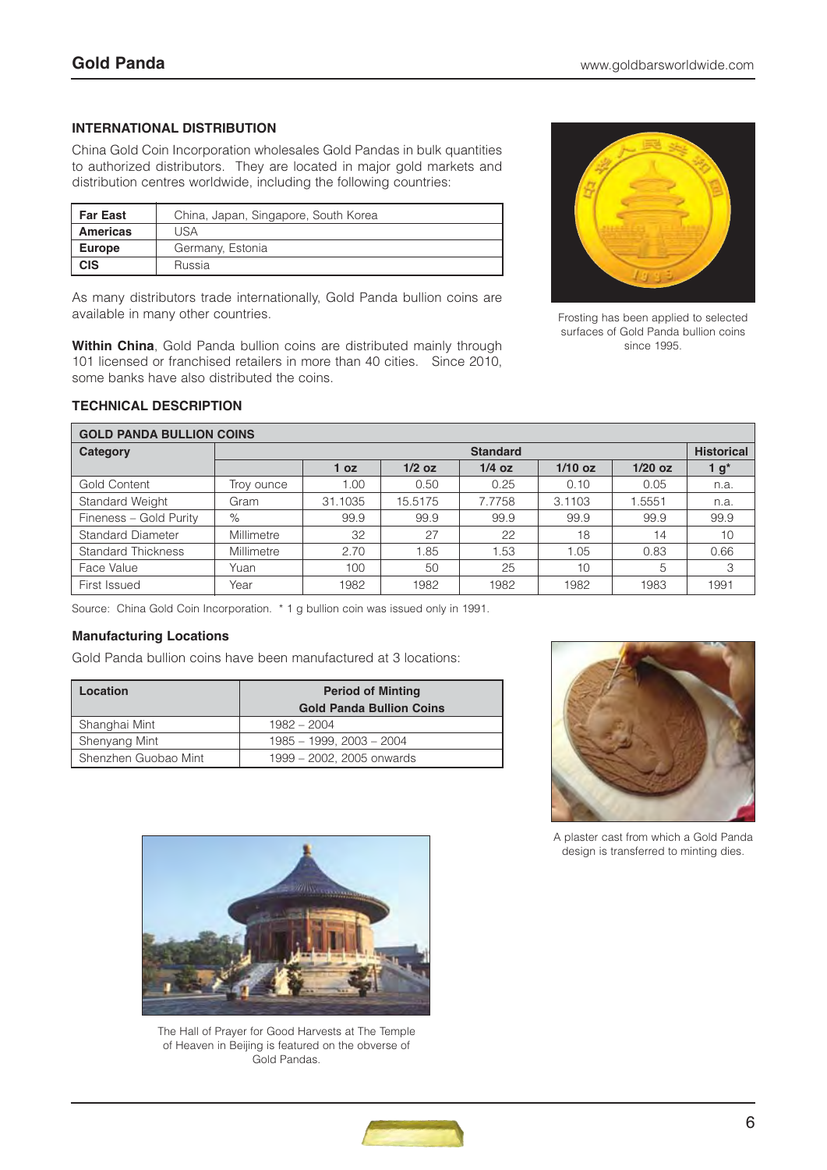### **INTERNATIONAL DISTRIBUTION**

China Gold Coin Incorporation wholesales Gold Pandas in bulk quantities to authorized distributors. They are located in major gold markets and distribution centres worldwide, including the following countries:

| <b>Far East</b> | China, Japan, Singapore, South Korea |
|-----------------|--------------------------------------|
| <b>Americas</b> | USA                                  |
| <b>Europe</b>   | Germany, Estonia                     |
| <b>CIS</b>      | Russia                               |

As many distributors trade internationally, Gold Panda bullion coins are available in many other countries.

**Within China**, Gold Panda bullion coins are distributed mainly through 101 licensed or franchised retailers in more than 40 cities. Since 2010, some banks have also distributed the coins.



Frosting has been applied to selected surfaces of Gold Panda bullion coins since 1995.

| <b>GOLD PANDA BULLION COINS</b> |                                      |                 |          |          |           |           |      |
|---------------------------------|--------------------------------------|-----------------|----------|----------|-----------|-----------|------|
| Category                        | <b>Historical</b><br><b>Standard</b> |                 |          |          |           |           |      |
|                                 |                                      | 1 <sub>oz</sub> | $1/2$ oz | $1/4$ oz | $1/10$ oz | $1/20$ oz | 1 g* |
| Gold Content                    | Trov ounce                           | 1.00            | 0.50     | 0.25     | 0.10      | 0.05      | n.a. |
| Standard Weight                 | Gram                                 | 31.1035         | 15.5175  | 7.7758   | 3.1103    | .5551     | n.a. |
| Fineness - Gold Purity          | $\%$                                 | 99.9            | 99.9     | 99.9     | 99.9      | 99.9      | 99.9 |
| <b>Standard Diameter</b>        | Millimetre                           | 32              | 27       | 22       | 18        | 14        | 10   |
| <b>Standard Thickness</b>       | Millimetre                           | 2.70            | 1.85     | 1.53     | 1.05      | 0.83      | 0.66 |
| Face Value                      | Yuan                                 | 100             | 50       | 25       | 10        | 5         | 3    |
| First Issued                    | Year                                 | 1982            | 1982     | 1982     | 1982      | 1983      | 1991 |

**TECHNICAL DESCRIPTION**

Source: China Gold Coin Incorporation. \* 1 g bullion coin was issued only in 1991.

#### **Manufacturing Locations**

Gold Panda bullion coins have been manufactured at 3 locations:

| Location             | <b>Period of Minting</b><br><b>Gold Panda Bullion Coins</b> |
|----------------------|-------------------------------------------------------------|
| Shanghai Mint        | $1982 - 2004$                                               |
| Shenyang Mint        | 1985 - 1999, 2003 - 2004                                    |
| Shenzhen Guobao Mint | 1999 - 2002, 2005 onwards                                   |



A plaster cast from which a Gold Panda design is transferred to minting dies.



The Hall of Prayer for Good Harvests at The Temple of Heaven in Beijing is featured on the obverse of Gold Pandas.

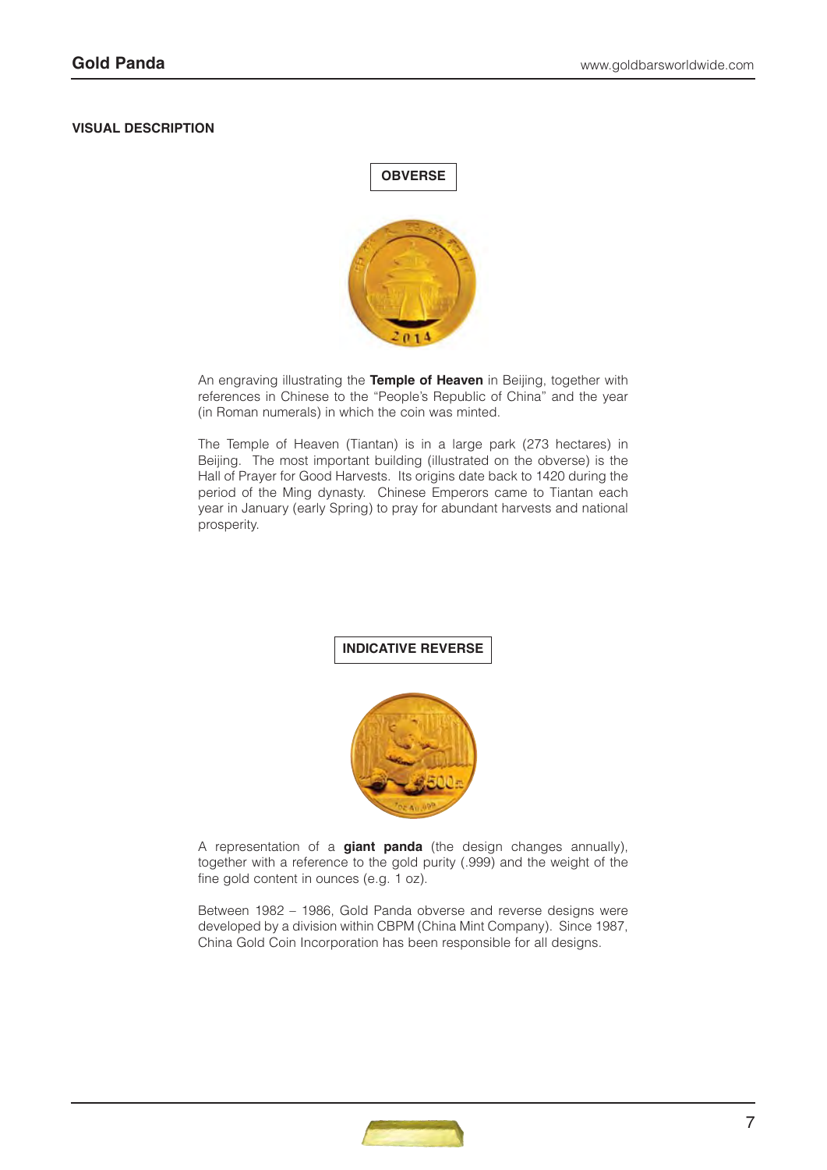#### **VISUAL DESCRIPTION**



An engraving illustrating the **Temple of Heaven** in Beijing, together with references in Chinese to the "People's Republic of China" and the year (in Roman numerals) in which the coin was minted.

The Temple of Heaven (Tiantan) is in a large park (273 hectares) in Beijing. The most important building (illustrated on the obverse) is the Hall of Prayer for Good Harvests. Its origins date back to 1420 during the period of the Ming dynasty. Chinese Emperors came to Tiantan each year in January (early Spring) to pray for abundant harvests and national prosperity.

# **INDICATIVE REVERSE**



A representation of a **giant panda** (the design changes annually), together with a reference to the gold purity (.999) and the weight of the fine gold content in ounces (e.g. 1 oz).

Between 1982 – 1986, Gold Panda obverse and reverse designs were developed by a division within CBPM (China Mint Company). Since 1987, China Gold Coin Incorporation has been responsible for all designs.

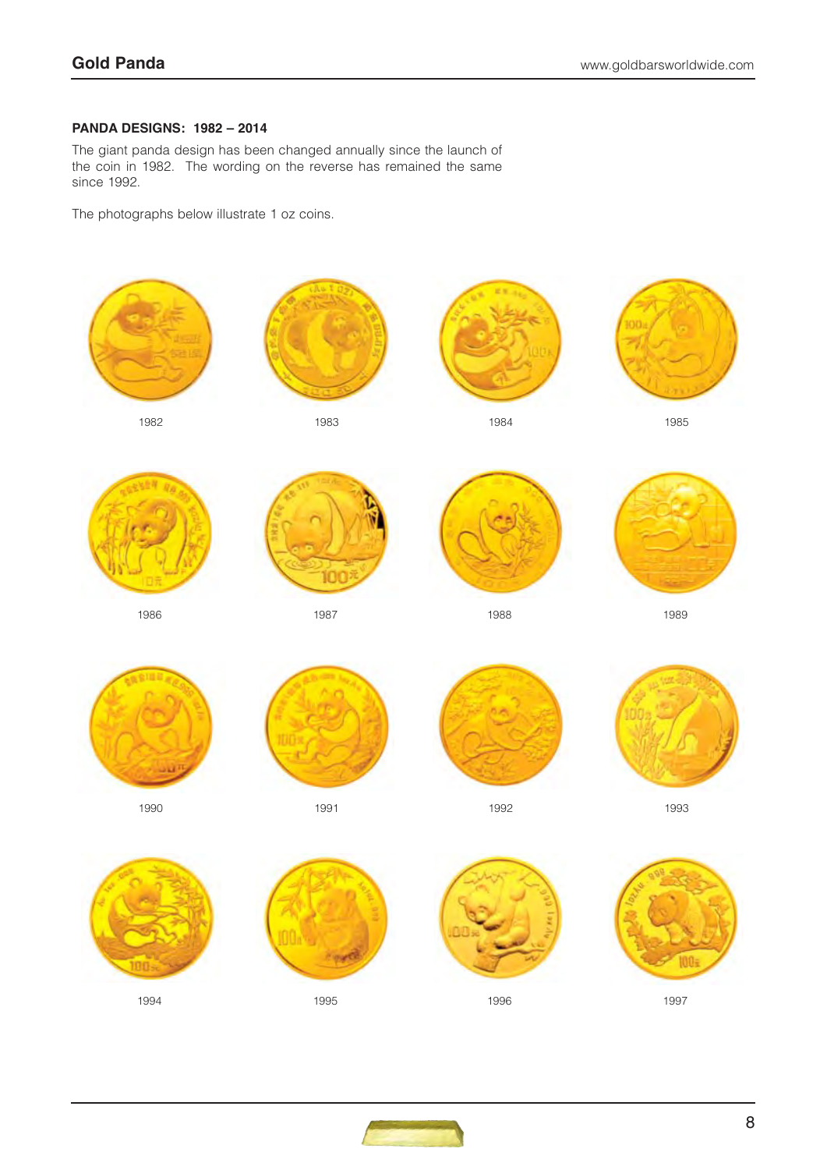## **PANDA DESIGNS: 1982 – 2014**

The giant panda design has been changed annually since the launch of the coin in 1982. The wording on the reverse has remained the same since 1992.

The photographs below illustrate 1 oz coins.



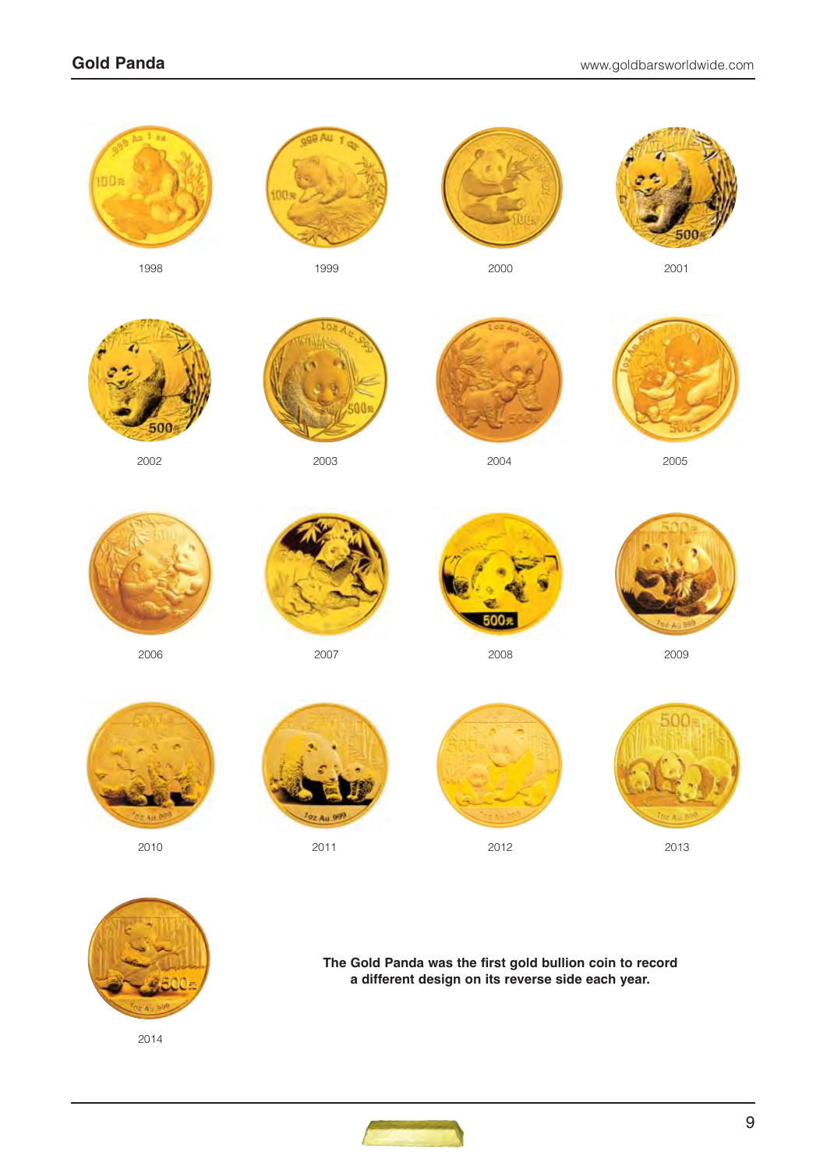

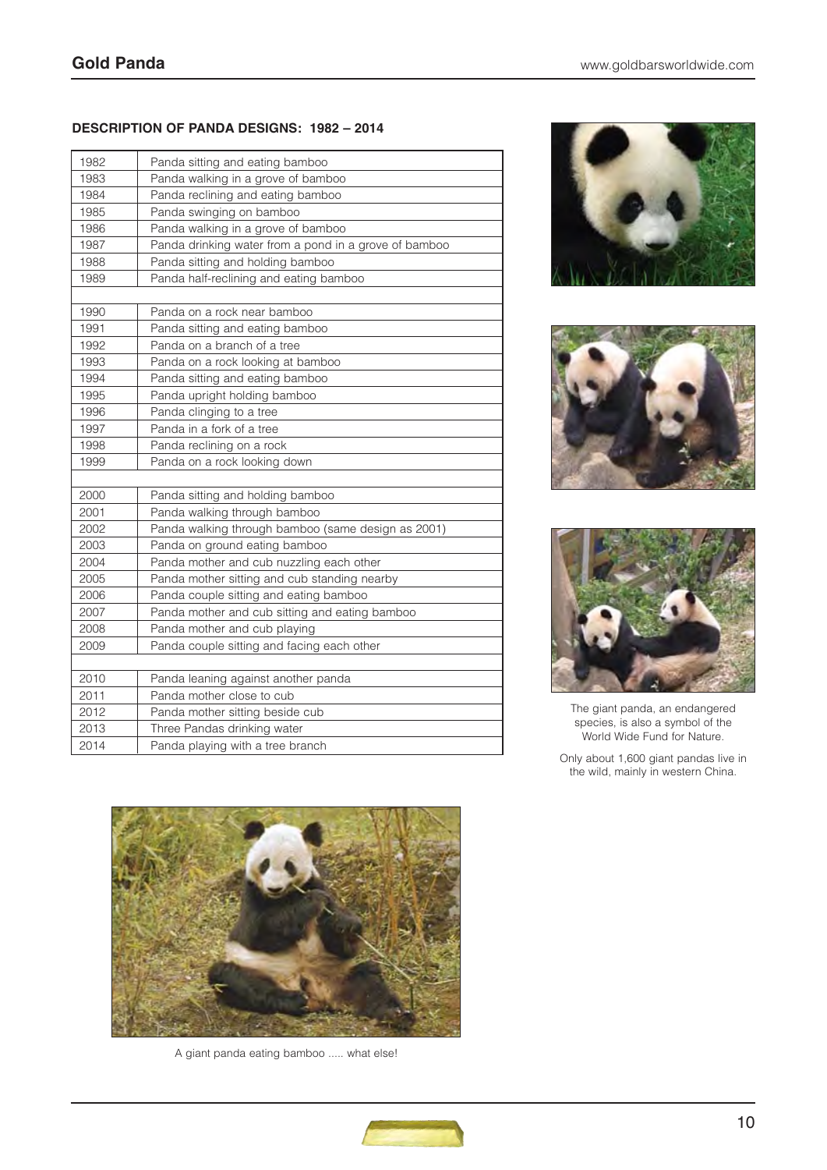#### **DESCRIPTION OF PANDA DESIGNS: 1982 – 2014**

| 1982 | Panda sitting and eating bamboo                       |
|------|-------------------------------------------------------|
| 1983 | Panda walking in a grove of bamboo                    |
| 1984 | Panda reclining and eating bamboo                     |
| 1985 | Panda swinging on bamboo                              |
| 1986 | Panda walking in a grove of bamboo                    |
| 1987 | Panda drinking water from a pond in a grove of bamboo |
| 1988 | Panda sitting and holding bamboo                      |
| 1989 | Panda half-reclining and eating bamboo                |
|      |                                                       |
| 1990 | Panda on a rock near bamboo                           |
| 1991 | Panda sitting and eating bamboo                       |
| 1992 | Panda on a branch of a tree                           |
| 1993 | Panda on a rock looking at bamboo                     |
| 1994 | Panda sitting and eating bamboo                       |
| 1995 | Panda upright holding bamboo                          |
| 1996 | Panda clinging to a tree                              |
| 1997 | Panda in a fork of a tree                             |
| 1998 | Panda reclining on a rock                             |
| 1999 | Panda on a rock looking down                          |
|      |                                                       |
| 2000 | Panda sitting and holding bamboo                      |
| 2001 | Panda walking through bamboo                          |
| 2002 | Panda walking through bamboo (same design as 2001)    |
| 2003 | Panda on ground eating bamboo                         |
| 2004 | Panda mother and cub nuzzling each other              |
| 2005 | Panda mother sitting and cub standing nearby          |
| 2006 | Panda couple sitting and eating bamboo                |
| 2007 | Panda mother and cub sitting and eating bamboo        |
| 2008 | Panda mother and cub playing                          |
| 2009 | Panda couple sitting and facing each other            |
|      |                                                       |
| 2010 | Panda leaning against another panda                   |
| 2011 | Panda mother close to cub                             |
| 2012 | Panda mother sitting beside cub                       |
| 2013 | Three Pandas drinking water                           |
| 2014 | Panda playing with a tree branch                      |



A giant panda eating bamboo ..... what else!







The giant panda, an endangered species, is also a symbol of the World Wide Fund for Nature.

Only about 1,600 giant pandas live in the wild, mainly in western China.

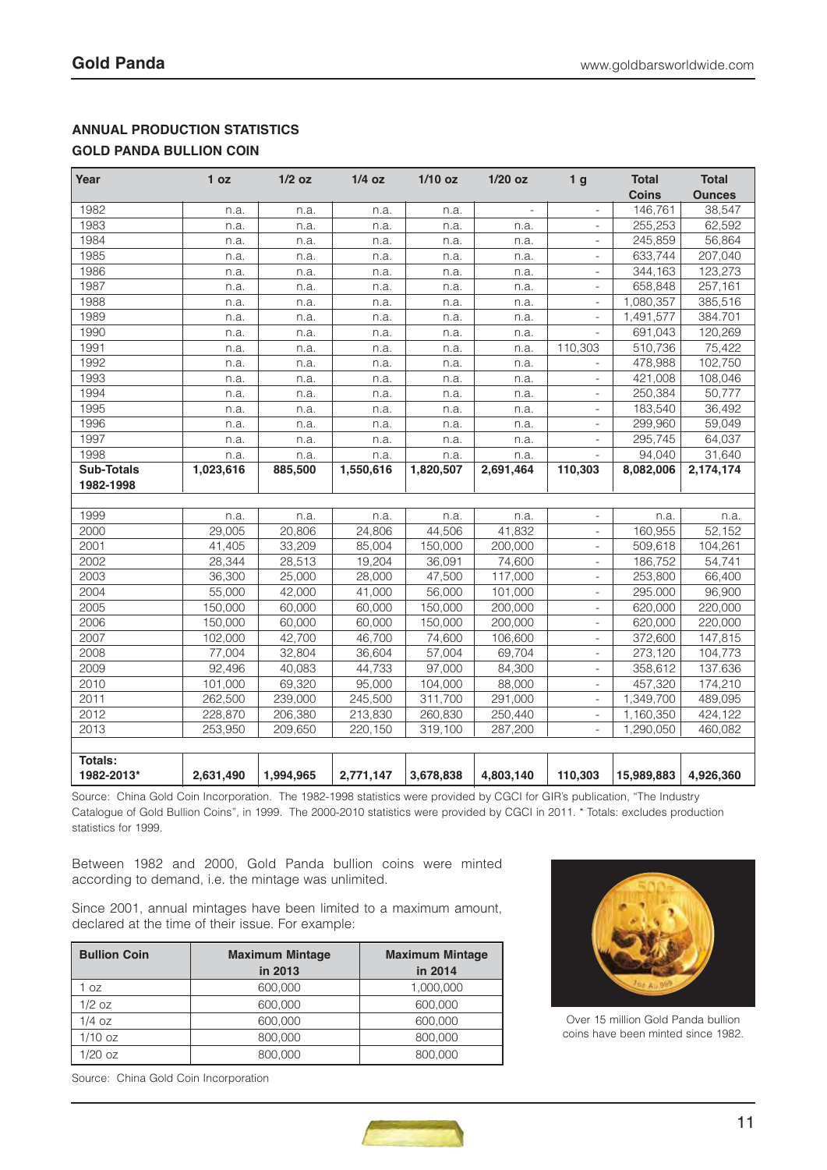# **ANNUAL PRODUCTION STATISTICS**

# **GOLD PANDA BULLION COIN**

| Year              | 1 <sub>oz</sub> | $1/2$ oz  | $1/4$ oz  | $1/10$ oz | $1/20$ oz | 1 <sub>g</sub>           | <b>Total</b> | <b>Total</b>  |
|-------------------|-----------------|-----------|-----------|-----------|-----------|--------------------------|--------------|---------------|
|                   |                 |           |           |           |           |                          | <b>Coins</b> | <b>Ounces</b> |
| 1982              | n.a.            | n.a.      | n.a.      | n.a.      |           |                          | 146,761      | 38,547        |
| 1983              | n.a.            | n.a.      | n.a.      | n.a.      | n.a.      |                          | 255,253      | 62,592        |
| 1984              | n.a.            | n.a.      | n.a.      | n.a.      | n.a.      | $\overline{a}$           | 245,859      | 56,864        |
| 1985              | n.a.            | n.a.      | n.a.      | n.a.      | n.a.      | $\overline{\phantom{a}}$ | 633.744      | 207,040       |
| 1986              | n.a.            | n.a.      | n.a.      | n.a.      | n.a.      | L,                       | 344,163      | 123,273       |
| 1987              | n.a.            | n.a.      | n.a.      | n.a.      | n.a.      |                          | 658,848      | 257,161       |
| 1988              | n.a.            | n.a.      | n.a.      | n.a.      | n.a.      | L.                       | 1,080,357    | 385,516       |
| 1989              | n.a.            | n.a.      | n.a.      | n.a.      | n.a.      | L,                       | 1,491,577    | 384.701       |
| 1990              | n.a.            | n.a.      | n.a.      | n.a.      | n.a.      |                          | 691,043      | 120,269       |
| 1991              | n.a.            | n.a.      | n.a.      | n.a.      | n.a.      | 110.303                  | 510.736      | 75,422        |
| 1992              | n.a.            | n.a.      | n.a.      | n.a.      | n.a.      |                          | 478,988      | 102,750       |
| 1993              | n.a.            | n.a.      | n.a.      | n.a.      | n.a.      | $\overline{a}$           | 421,008      | 108,046       |
| 1994              | n.a.            | n.a.      | n.a.      | n.a.      | n.a.      | L.                       | 250,384      | 50,777        |
| 1995              | n.a.            | n.a.      | n.a.      | n.a.      | n.a.      |                          | 183,540      | 36,492        |
| 1996              | n.a.            | n.a.      | n.a.      | n.a.      | n.a.      |                          | 299,960      | 59,049        |
| 1997              | n.a.            | n.a.      | n.a.      | n.a.      | n.a.      | $\overline{a}$           | 295.745      | 64,037        |
| 1998              | n.a.            | n.a.      | n.a.      | n.a.      | n.a.      | ä,                       | 94.040       | 31,640        |
| <b>Sub-Totals</b> | 1,023,616       | 885,500   | 1,550,616 | 1,820,507 | 2,691,464 | 110,303                  | 8,082,006    | 2,174,174     |
| 1982-1998         |                 |           |           |           |           |                          |              |               |
|                   |                 |           |           |           |           |                          |              |               |
| 1999              | n.a.            | n.a.      | n.a.      | n.a.      | n.a.      |                          | n.a.         | n.a.          |
| 2000              | 29,005          | 20,806    | 24,806    | 44,506    | 41,832    | L                        | 160,955      | 52,152        |
| 2001              | 41.405          | 33.209    | 85.004    | 150.000   | 200,000   | $\frac{1}{2}$            | 509,618      | 104.261       |
| 2002              | 28,344          | 28,513    | 19,204    | 36,091    | 74,600    | $\overline{\phantom{m}}$ | 186,752      | 54,741        |
| 2003              | 36,300          | 25,000    | 28,000    | 47,500    | 117,000   | L,                       | 253,800      | 66,400        |
| 2004              | 55,000          | 42,000    | 41,000    | 56,000    | 101,000   | L,                       | 295.000      | 96,900        |
| 2005              | 150,000         | 60,000    | 60,000    | 150,000   | 200,000   |                          | 620,000      | 220,000       |
| 2006              | 150,000         | 60,000    | 60,000    | 150,000   | 200,000   | $\overline{a}$           | 620,000      | 220,000       |
| 2007              | 102,000         | 42,700    | 46.700    | 74,600    | 106,600   | $\overline{a}$           | 372,600      | 147,815       |
| 2008              | 77,004          | 32,804    | 36,604    | 57,004    | 69,704    | L.                       | 273,120      | 104,773       |
| 2009              | 92,496          | 40,083    | 44,733    | 97,000    | 84,300    | L,                       | 358,612      | 137.636       |
| 2010              | 101,000         | 69,320    | 95,000    | 104,000   | 88,000    | L.                       | 457,320      | 174,210       |
| 2011              | 262,500         | 239,000   | 245,500   | 311,700   | 291,000   | ä,                       | 1,349,700    | 489,095       |
| 2012              | 228,870         | 206,380   | 213,830   | 260,830   | 250,440   | L,                       | 1,160,350    | 424,122       |
| 2013              | 253,950         | 209,650   | 220,150   | 319,100   | 287,200   | $\overline{a}$           | 1,290,050    | 460,082       |
|                   |                 |           |           |           |           |                          |              |               |
| Totals:           |                 |           |           |           |           |                          |              |               |
| 1982-2013*        | 2,631,490       | 1,994,965 | 2,771,147 | 3,678,838 | 4,803,140 | 110,303                  | 15,989,883   | 4,926,360     |

Source: China Gold Coin Incorporation. The 1982-1998 statistics were provided by CGCI for GIR's publication, "The Industry Catalogue of Gold Bullion Coins", in 1999. The 2000-2010 statistics were provided by CGCI in 2011. \* Totals: excludes production statistics for 1999.

Between 1982 and 2000, Gold Panda bullion coins were minted according to demand, i.e. the mintage was unlimited.

Since 2001, annual mintages have been limited to a maximum amount, declared at the time of their issue. For example:

| <b>Bullion Coin</b> | <b>Maximum Mintage</b> | <b>Maximum Mintage</b> |
|---------------------|------------------------|------------------------|
|                     | in 2013                | in 2014                |
| 1 oz                | 600,000                | 1,000,000              |
| $1/2$ oz            | 600,000                | 600,000                |
| $1/4$ oz            | 600,000                | 600,000                |
| $1/10$ oz           | 800.000                | 800,000                |
| $1/20$ oz           | 800.000                | 800,000                |



Over 15 million Gold Panda bullion coins have been minted since 1982.

Source: China Gold Coin Incorporation